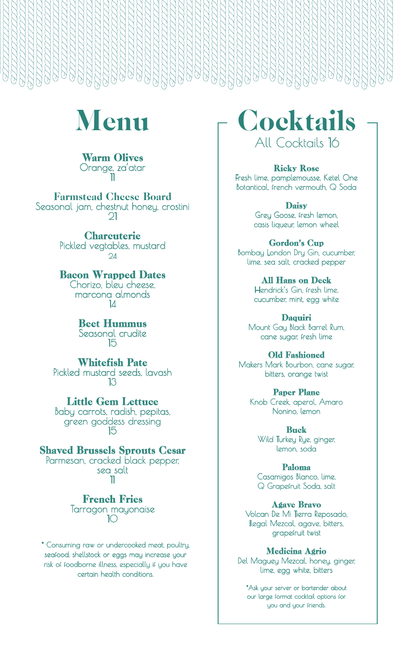

#### Warm Olives Orange, za'atar 11

Farmstead Cheese Board Seasonal jam, chestnut honey, crostini  $\mathcal{Q}$ 

> **Charcuterie** Pickled vegtables, mustard 24

> Bacon Wrapped Dates Chorizo, bleu cheese, marcona almonds

14

Beet Hummus Seasonal crudite 15

### Whitefish Pate

Pickled mustard seeds, lavash 13

Little Gem Lettuce

Baby carrots, radish, pepitas, green goddess dressing 15

Shaved Brussels Sprouts Cesar

Parmesan, cracked black pepper, sea salt 11

> French Fries Tarragon mayonaise 10

\* Consuming raw or undercooked meat, poultry, seafood, shellstock or eggs may increase your risk of foodborne illness, especially if you have certain health conditions.

**Cocktails** All Cocktails 16

#### Ricky Rose

Fresh lime, pamplemousse, Ketel One Botantical, french vermouth, Q Soda

> **Daisy** Grey Goose, fresh lemon, casis liqueur, lemon wheel

Gordon's Cup Bombay London Dry Gin, cucumber, lime, sea salt, cracked pepper

> All Hans on Deck Hendrick's Gin, fresh lime, cucumber, mint, egg white

Daquiri Mount Gay Black Barrel Rum, cane sugar, fresh lime

Old Fashioned Makers Mark Bourbon, cane sugar, bitters, orange twist

> Paper Plane Knob Creek, aperol, Amaro Nonino, lemon

Buck Wild Turkey Rye, ginger, lemon, soda

Paloma Casamigos Blanco, lime, Q Grapefruit Soda, salt

Agave Bravo Volcan De Mi Tierra Reposado, Ilegal Mezcal, agave, bitters,

grapefruit twist Medicina Agrio

Del Maguey Mezcal, honey, ginger, lime, egg white, bitters

\*Ask your server or bartender about our large format cocktail options for you and your friends.